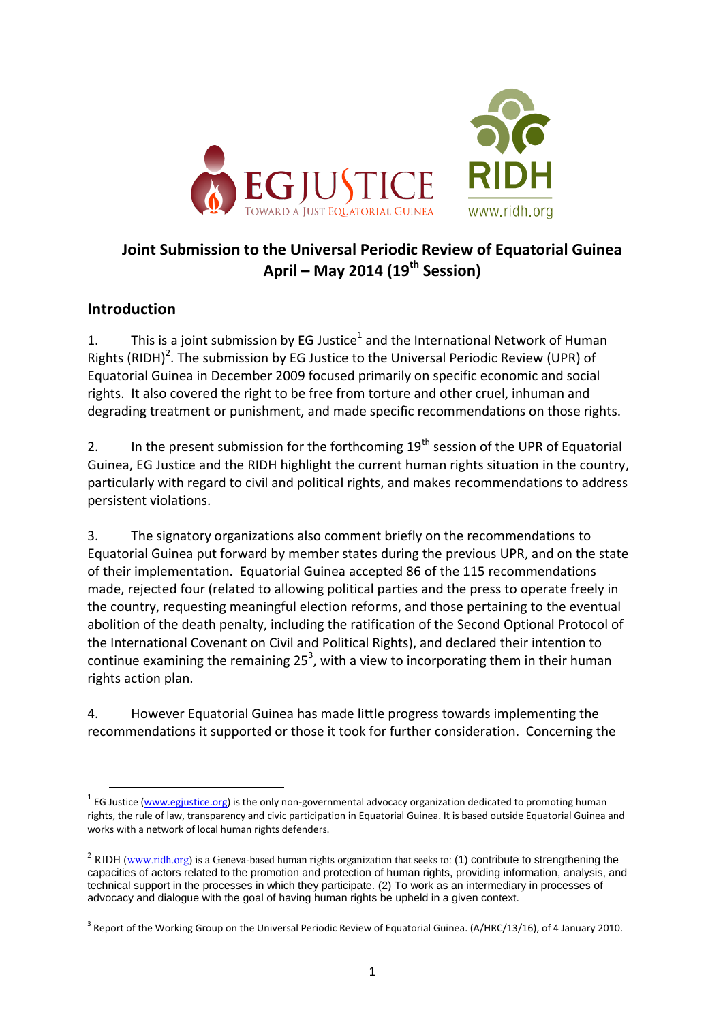

# **Joint Submission to the Universal Periodic Review of Equatorial Guinea April – May 2014 (19th Session)**

### **Introduction**

 $\overline{a}$ 

1. This is a joint submission by EG Justice<sup>1</sup> and the International Network of Human Rights (RIDH)<sup>2</sup>. The submission by EG Justice to the Universal Periodic Review (UPR) of Equatorial Guinea in December 2009 focused primarily on specific economic and social rights. It also covered the right to be free from torture and other cruel, inhuman and degrading treatment or punishment, and made specific recommendations on those rights.

2. In the present submission for the forthcoming  $19<sup>th</sup>$  session of the UPR of Equatorial Guinea, EG Justice and the RIDH highlight the current human rights situation in the country, particularly with regard to civil and political rights, and makes recommendations to address persistent violations.

3. The signatory organizations also comment briefly on the recommendations to Equatorial Guinea put forward by member states during the previous UPR, and on the state of their implementation. Equatorial Guinea accepted 86 of the 115 recommendations made, rejected four (related to allowing political parties and the press to operate freely in the country, requesting meaningful election reforms, and those pertaining to the eventual abolition of the death penalty, including the ratification of the Second Optional Protocol of the International Covenant on Civil and Political Rights), and declared their intention to continue examining the remaining  $25<sup>3</sup>$ , with a view to incorporating them in their human rights action plan.

4. However Equatorial Guinea has made little progress towards implementing the recommendations it supported or those it took for further consideration. Concerning the

<sup>&</sup>lt;sup>1</sup> EG Justice [\(www.egjustice.org\)](http://www.egjustice.org/) is the only non-governmental advocacy organization dedicated to promoting human rights, the rule of law, transparency and civic participation in Equatorial Guinea. It is based outside Equatorial Guinea and works with a network of local human rights defenders.

<sup>&</sup>lt;sup>2</sup> RIDH [\(www.ridh.org\)](http://www.ridh.org/) is a Geneva-based human rights organization that seeks to: (1) contribute to strengthening the capacities of actors related to the promotion and protection of human rights, providing information, analysis, and technical support in the processes in which they participate. (2) To work as an intermediary in processes of advocacy and dialogue with the goal of having human rights be upheld in a given context.

 $3$  Report of the Working Group on the Universal Periodic Review of Equatorial Guinea. (A/HRC/13/16), of 4 January 2010.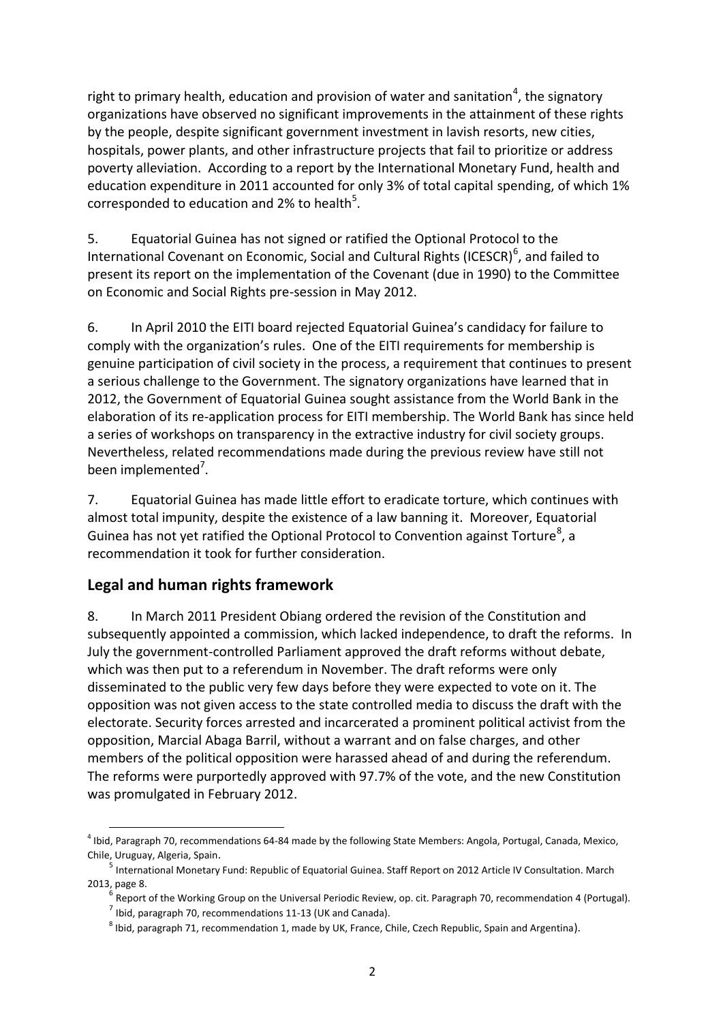right to primary health, education and provision of water and sanitation<sup>4</sup>, the signatory organizations have observed no significant improvements in the attainment of these rights by the people, despite significant government investment in lavish resorts, new cities, hospitals, power plants, and other infrastructure projects that fail to prioritize or address poverty alleviation. According to a report by the International Monetary Fund, health and education expenditure in 2011 accounted for only 3% of total capital spending, of which 1% corresponded to education and 2% to health<sup>5</sup>.

5. Equatorial Guinea has not signed or ratified the Optional Protocol to the International Covenant on Economic, Social and Cultural Rights (ICESCR)<sup>6</sup>, and failed to present its report on the implementation of the Covenant (due in 1990) to the Committee on Economic and Social Rights pre-session in May 2012.

6. In April 2010 the EITI board rejected Equatorial Guinea's candidacy for failure to comply with the organization's rules. One of the EITI requirements for membership is genuine participation of civil society in the process, a requirement that continues to present a serious challenge to the Government. The signatory organizations have learned that in 2012, the Government of Equatorial Guinea sought assistance from the World Bank in the elaboration of its re-application process for EITI membership. The World Bank has since held a series of workshops on transparency in the extractive industry for civil society groups. Nevertheless, related recommendations made during the previous review have still not been implemented<sup>7</sup>.

7. Equatorial Guinea has made little effort to eradicate torture, which continues with almost total impunity, despite the existence of a law banning it. Moreover, Equatorial Guinea has not yet ratified the Optional Protocol to Convention against Torture<sup>8</sup>, a recommendation it took for further consideration.

### **Legal and human rights framework**

8. In March 2011 President Obiang ordered the revision of the Constitution and subsequently appointed a commission, which lacked independence, to draft the reforms. In July the government-controlled Parliament approved the draft reforms without debate, which was then put to a referendum in November. The draft reforms were only disseminated to the public very few days before they were expected to vote on it. The opposition was not given access to the state controlled media to discuss the draft with the electorate. Security forces arrested and incarcerated a prominent political activist from the opposition, Marcial Abaga Barril, without a warrant and on false charges, and other members of the political opposition were harassed ahead of and during the referendum. The reforms were purportedly approved with 97.7% of the vote, and the new Constitution was promulgated in February 2012.

 $\overline{a}$ <sup>4</sup> Ibid, Paragraph 70, recommendations 64-84 made by the following State Members: Angola, Portugal, Canada, Mexico, Chile, Uruguay, Algeria, Spain.

<sup>&</sup>lt;sup>5</sup> International Monetary Fund: Republic of Equatorial Guinea. Staff Report on 2012 Article IV Consultation. March 2013, page 8.

 $^6$  Report of the Working Group on the Universal Periodic Review, op. cit. Paragraph 70, recommendation 4 (Portugal).

 $^7$  Ibid, paragraph 70, recommendations 11-13 (UK and Canada).

 $^8$  Ibid, paragraph 71, recommendation 1, made by UK, France, Chile, Czech Republic, Spain and Argentina).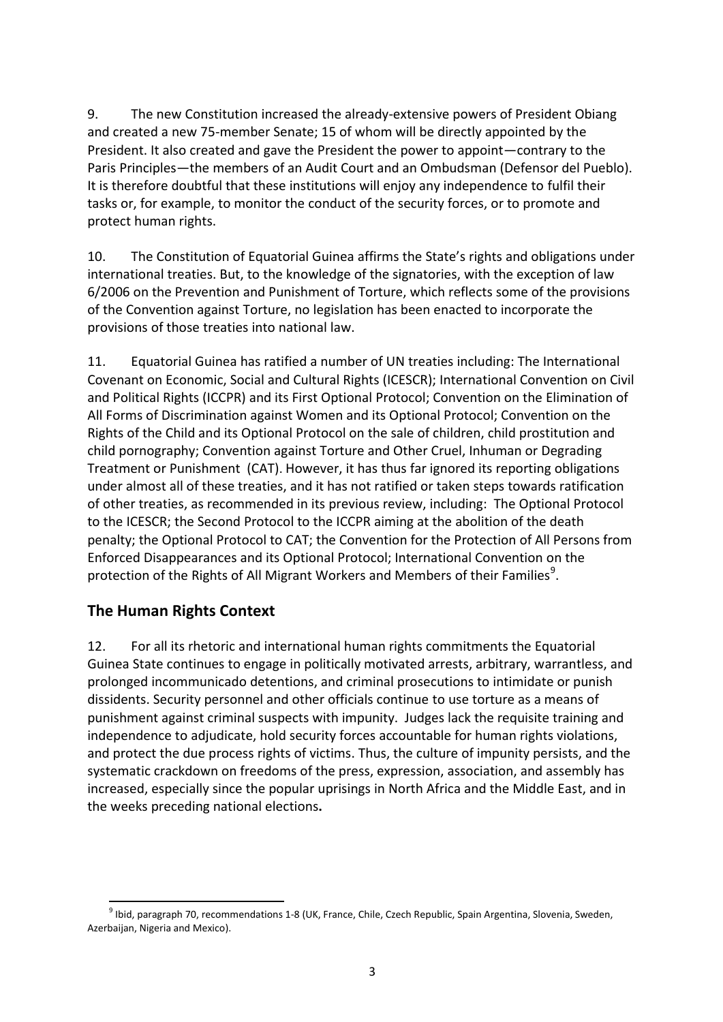9. The new Constitution increased the already-extensive powers of President Obiang and created a new 75-member Senate; 15 of whom will be directly appointed by the President. It also created and gave the President the power to appoint—contrary to the Paris Principles—the members of an Audit Court and an Ombudsman (Defensor del Pueblo). It is therefore doubtful that these institutions will enjoy any independence to fulfil their tasks or, for example, to monitor the conduct of the security forces, or to promote and protect human rights.

10. The Constitution of Equatorial Guinea affirms the State's rights and obligations under international treaties. But, to the knowledge of the signatories, with the exception of law 6/2006 on the Prevention and Punishment of Torture, which reflects some of the provisions of the Convention against Torture, no legislation has been enacted to incorporate the provisions of those treaties into national law.

11. Equatorial Guinea has ratified a number of UN treaties including: The International Covenant on Economic, Social and Cultural Rights (ICESCR); International Convention on Civil and Political Rights (ICCPR) and its First Optional Protocol; Convention on the Elimination of All Forms of Discrimination against Women and its Optional Protocol; Convention on the Rights of the Child and its Optional Protocol on the sale of children, child prostitution and child pornography; Convention against Torture and Other Cruel, Inhuman or Degrading Treatment or Punishment (CAT). However, it has thus far ignored its reporting obligations under almost all of these treaties, and it has not ratified or taken steps towards ratification of other treaties, as recommended in its previous review, including: The Optional Protocol to the ICESCR; the Second Protocol to the ICCPR aiming at the abolition of the death penalty; the Optional Protocol to CAT; the Convention for the Protection of All Persons from Enforced Disappearances and its Optional Protocol; International Convention on the protection of the Rights of All Migrant Workers and Members of their Families<sup>9</sup>.

### **The Human Rights Context**

12. For all its rhetoric and international human rights commitments the Equatorial Guinea State continues to engage in politically motivated arrests, arbitrary, warrantless, and prolonged incommunicado detentions, and criminal prosecutions to intimidate or punish dissidents. Security personnel and other officials continue to use torture as a means of punishment against criminal suspects with impunity. Judges lack the requisite training and independence to adjudicate, hold security forces accountable for human rights violations, and protect the due process rights of victims. Thus, the culture of impunity persists, and the systematic crackdown on freedoms of the press, expression, association, and assembly has increased, especially since the popular uprisings in North Africa and the Middle East, and in the weeks preceding national elections**.**

 $\overline{a}$ 9 Ibid, paragraph 70, recommendations 1-8 (UK, France, Chile, Czech Republic, Spain Argentina, Slovenia, Sweden, Azerbaijan, Nigeria and Mexico).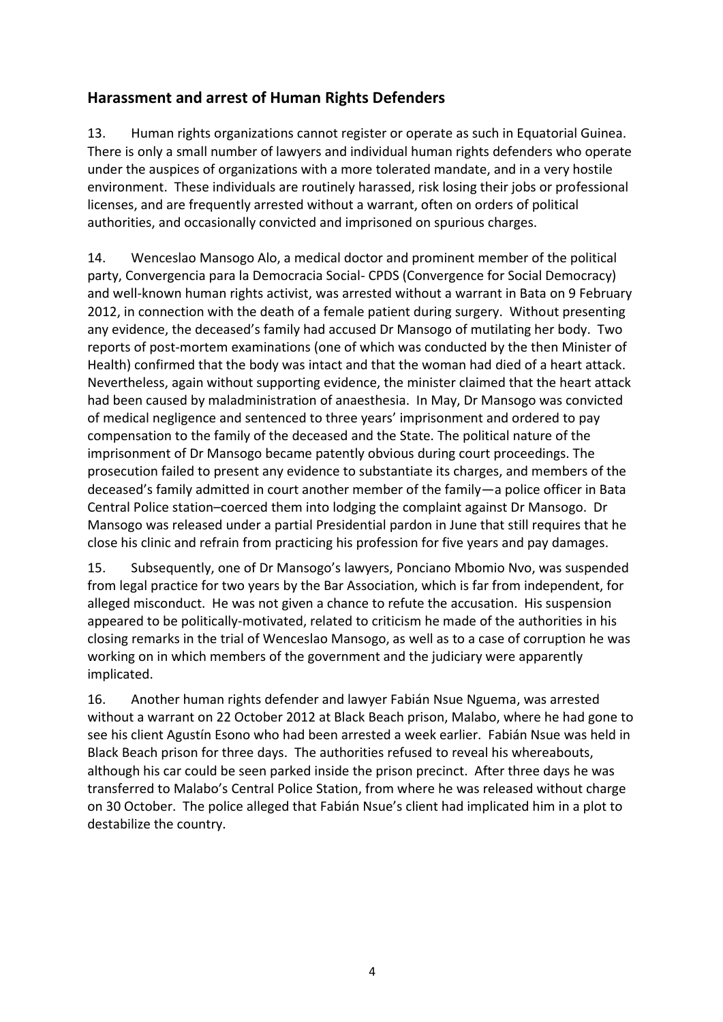## **Harassment and arrest of Human Rights Defenders**

13. Human rights organizations cannot register or operate as such in Equatorial Guinea. There is only a small number of lawyers and individual human rights defenders who operate under the auspices of organizations with a more tolerated mandate, and in a very hostile environment. These individuals are routinely harassed, risk losing their jobs or professional licenses, and are frequently arrested without a warrant, often on orders of political authorities, and occasionally convicted and imprisoned on spurious charges.

14. Wenceslao Mansogo Alo, a medical doctor and prominent member of the political party, Convergencia para la Democracia Social- CPDS (Convergence for Social Democracy) and well-known human rights activist, was arrested without a warrant in Bata on 9 February 2012, in connection with the death of a female patient during surgery. Without presenting any evidence, the deceased's family had accused Dr Mansogo of mutilating her body. Two reports of post-mortem examinations (one of which was conducted by the then Minister of Health) confirmed that the body was intact and that the woman had died of a heart attack. Nevertheless, again without supporting evidence, the minister claimed that the heart attack had been caused by maladministration of anaesthesia. In May, Dr Mansogo was convicted of medical negligence and sentenced to three years' imprisonment and ordered to pay compensation to the family of the deceased and the State. The political nature of the imprisonment of Dr Mansogo became patently obvious during court proceedings. The prosecution failed to present any evidence to substantiate its charges, and members of the deceased's family admitted in court another member of the family—a police officer in Bata Central Police station–coerced them into lodging the complaint against Dr Mansogo. Dr Mansogo was released under a partial Presidential pardon in June that still requires that he close his clinic and refrain from practicing his profession for five years and pay damages.

15. Subsequently, one of Dr Mansogo's lawyers, Ponciano Mbomio Nvo, was suspended from legal practice for two years by the Bar Association, which is far from independent, for alleged misconduct. He was not given a chance to refute the accusation. His suspension appeared to be politically-motivated, related to criticism he made of the authorities in his closing remarks in the trial of Wenceslao Mansogo, as well as to a case of corruption he was working on in which members of the government and the judiciary were apparently implicated.

16. Another human rights defender and lawyer Fabián Nsue Nguema, was arrested without a warrant on 22 October 2012 at Black Beach prison, Malabo, where he had gone to see his client Agustín Esono who had been arrested a week earlier. Fabián Nsue was held in Black Beach prison for three days. The authorities refused to reveal his whereabouts, although his car could be seen parked inside the prison precinct. After three days he was transferred to Malabo's Central Police Station, from where he was released without charge on 30 October. The police alleged that Fabián Nsue's client had implicated him in a plot to destabilize the country.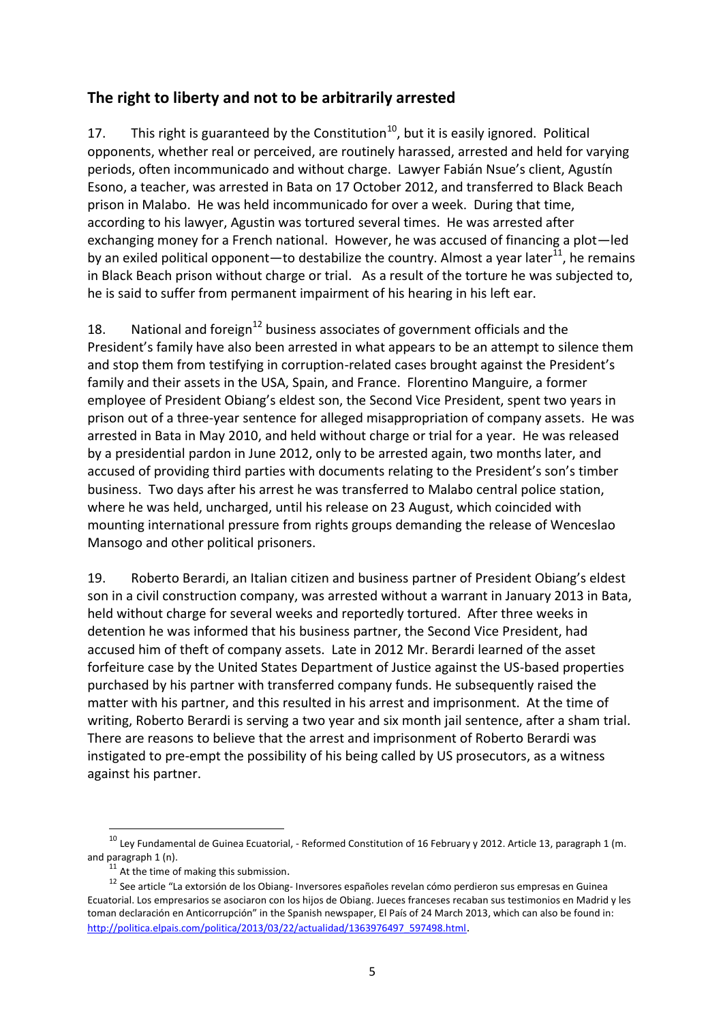### **The right to liberty and not to be arbitrarily arrested**

17. This right is guaranteed by the Constitution<sup>10</sup>, but it is easily ignored. Political opponents, whether real or perceived, are routinely harassed, arrested and held for varying periods, often incommunicado and without charge. Lawyer Fabián Nsue's client, Agustín Esono, a teacher, was arrested in Bata on 17 October 2012, and transferred to Black Beach prison in Malabo. He was held incommunicado for over a week. During that time, according to his lawyer, Agustin was tortured several times. He was arrested after exchanging money for a French national. However, he was accused of financing a plot—led by an exiled political opponent—to destabilize the country. Almost a year later<sup>11</sup>, he remains in Black Beach prison without charge or trial. As a result of the torture he was subjected to, he is said to suffer from permanent impairment of his hearing in his left ear.

18. National and foreign<sup>12</sup> business associates of government officials and the President's family have also been arrested in what appears to be an attempt to silence them and stop them from testifying in corruption-related cases brought against the President's family and their assets in the USA, Spain, and France. Florentino Manguire, a former employee of President Obiang's eldest son, the Second Vice President, spent two years in prison out of a three-year sentence for alleged misappropriation of company assets. He was arrested in Bata in May 2010, and held without charge or trial for a year. He was released by a presidential pardon in June 2012, only to be arrested again, two months later, and accused of providing third parties with documents relating to the President's son's timber business. Two days after his arrest he was transferred to Malabo central police station, where he was held, uncharged, until his release on 23 August, which coincided with mounting international pressure from rights groups demanding the release of Wenceslao Mansogo and other political prisoners.

19. Roberto Berardi, an Italian citizen and business partner of President Obiang's eldest son in a civil construction company, was arrested without a warrant in January 2013 in Bata, held without charge for several weeks and reportedly tortured. After three weeks in detention he was informed that his business partner, the Second Vice President, had accused him of theft of company assets. Late in 2012 Mr. Berardi learned of the asset forfeiture case by the United States Department of Justice against the US-based properties purchased by his partner with transferred company funds. He subsequently raised the matter with his partner, and this resulted in his arrest and imprisonment. At the time of writing, Roberto Berardi is serving a two year and six month jail sentence, after a sham trial. There are reasons to believe that the arrest and imprisonment of Roberto Berardi was instigated to pre-empt the possibility of his being called by US prosecutors, as a witness against his partner.

 $\overline{a}$ 

 $^{10}$  Ley Fundamental de Guinea Ecuatorial, - Reformed Constitution of 16 February y 2012. Article 13, paragraph 1 (m. and paragraph 1 (n).

<sup>&</sup>lt;sup>11</sup> At the time of making this submission.

<sup>12</sup> See article "La extorsión de los Obiang- Inversores españoles revelan cómo perdieron sus empresas en Guinea Ecuatorial. Los empresarios se asociaron con los hijos de Obiang. Jueces franceses recaban sus testimonios en Madrid y les toman declaración en Anticorrupción" in the Spanish newspaper, El País of 24 March 2013, which can also be found in: [http://politica.elpais.com/politica/2013/03/22/actualidad/1363976497\\_597498.html](http://politica.elpais.com/politica/2013/03/22/actualidad/1363976497_597498.html).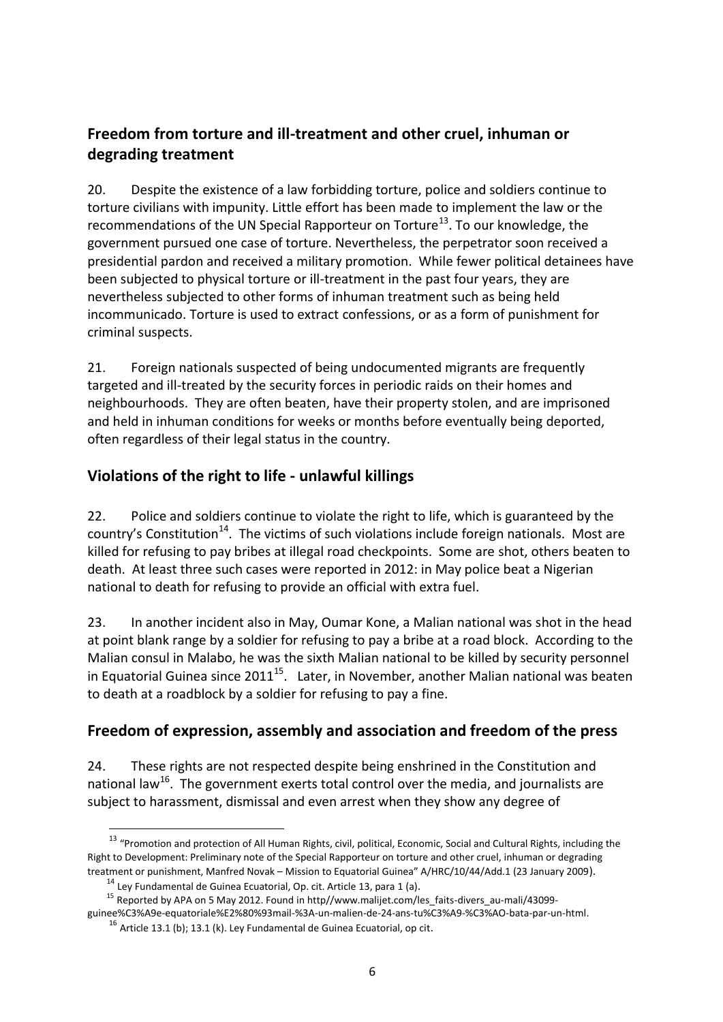# **Freedom from torture and ill-treatment and other cruel, inhuman or degrading treatment**

20. Despite the existence of a law forbidding torture, police and soldiers continue to torture civilians with impunity. Little effort has been made to implement the law or the recommendations of the UN Special Rapporteur on Torture<sup>13</sup>. To our knowledge, the government pursued one case of torture. Nevertheless, the perpetrator soon received a presidential pardon and received a military promotion. While fewer political detainees have been subjected to physical torture or ill-treatment in the past four years, they are nevertheless subjected to other forms of inhuman treatment such as being held incommunicado. Torture is used to extract confessions, or as a form of punishment for criminal suspects.

21. Foreign nationals suspected of being undocumented migrants are frequently targeted and ill-treated by the security forces in periodic raids on their homes and neighbourhoods. They are often beaten, have their property stolen, and are imprisoned and held in inhuman conditions for weeks or months before eventually being deported, often regardless of their legal status in the country.

# **Violations of the right to life - unlawful killings**

22. Police and soldiers continue to violate the right to life, which is guaranteed by the country's Constitution<sup>14</sup>. The victims of such violations include foreign nationals. Most are killed for refusing to pay bribes at illegal road checkpoints. Some are shot, others beaten to death. At least three such cases were reported in 2012: in May police beat a Nigerian national to death for refusing to provide an official with extra fuel.

23. In another incident also in May, Oumar Kone, a Malian national was shot in the head at point blank range by a soldier for refusing to pay a bribe at a road block. According to the Malian consul in Malabo, he was the sixth Malian national to be killed by security personnel in Equatorial Guinea since  $2011^{15}$ . Later, in November, another Malian national was beaten to death at a roadblock by a soldier for refusing to pay a fine.

# **Freedom of expression, assembly and association and freedom of the press**

24. These rights are not respected despite being enshrined in the Constitution and national law<sup>16</sup>. The government exerts total control over the media, and journalists are subject to harassment, dismissal and even arrest when they show any degree of

 $\overline{a}$ 

<sup>&</sup>lt;sup>13</sup> "Promotion and protection of All Human Rights, civil, political, Economic, Social and Cultural Rights, including the Right to Development: Preliminary note of the Special Rapporteur on torture and other cruel, inhuman or degrading treatment or punishment, Manfred Novak – Mission to Equatorial Guinea" A/HRC/10/44/Add.1 (23 January 2009).

<sup>14</sup> Ley Fundamental de Guinea Ecuatorial, Op. cit. Article 13, para 1 (a).

<sup>&</sup>lt;sup>15</sup> Reported by APA on 5 May 2012. Found in http//www.malijet.com/les\_faits-divers\_au-mali/43099-

guinee%C3%A9e-equatoriale%E2%80%93mail-%3A-un-malien-de-24-ans-tu%C3%A9-%C3%AO-bata-par-un-html.

 $16$  Article 13.1 (b); 13.1 (k). Ley Fundamental de Guinea Ecuatorial, op cit.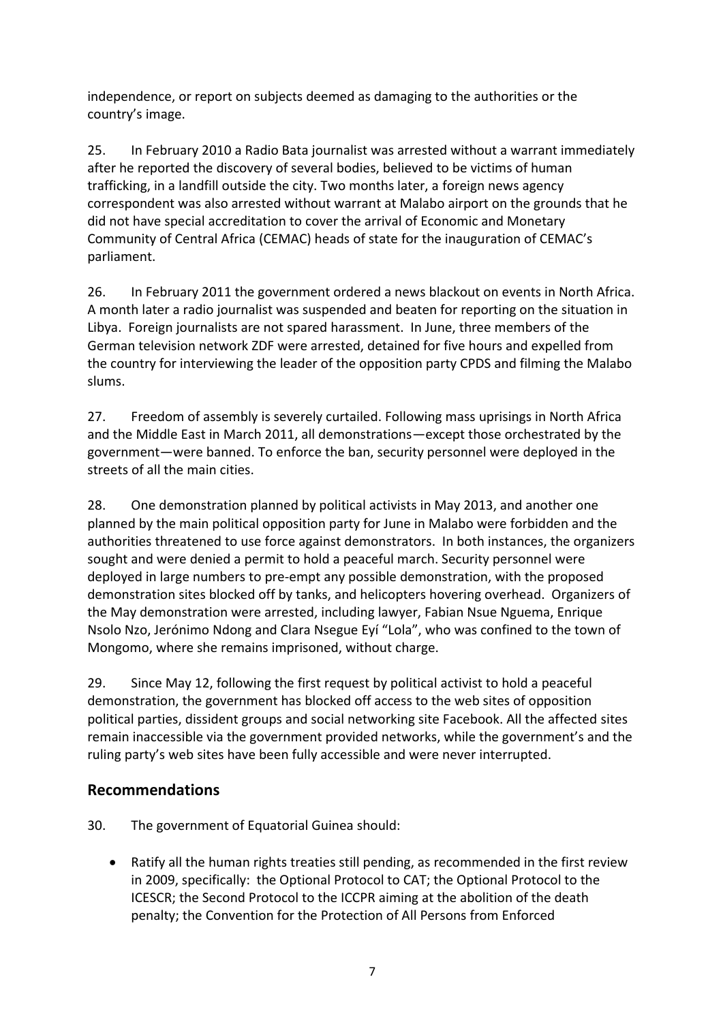independence, or report on subjects deemed as damaging to the authorities or the country's image.

25. In February 2010 a Radio Bata journalist was arrested without a warrant immediately after he reported the discovery of several bodies, believed to be victims of human trafficking, in a landfill outside the city. Two months later, a foreign news agency correspondent was also arrested without warrant at Malabo airport on the grounds that he did not have special accreditation to cover the arrival of Economic and Monetary Community of Central Africa (CEMAC) heads of state for the inauguration of CEMAC's parliament.

26. In February 2011 the government ordered a news blackout on events in North Africa. A month later a radio journalist was suspended and beaten for reporting on the situation in Libya. Foreign journalists are not spared harassment. In June, three members of the German television network ZDF were arrested, detained for five hours and expelled from the country for interviewing the leader of the opposition party CPDS and filming the Malabo slums.

27. Freedom of assembly is severely curtailed. Following mass uprisings in North Africa and the Middle East in March 2011, all demonstrations—except those orchestrated by the government—were banned. To enforce the ban, security personnel were deployed in the streets of all the main cities.

28. One demonstration planned by political activists in May 2013, and another one planned by the main political opposition party for June in Malabo were forbidden and the authorities threatened to use force against demonstrators. In both instances, the organizers sought and were denied a permit to hold a peaceful march. Security personnel were deployed in large numbers to pre-empt any possible demonstration, with the proposed demonstration sites blocked off by tanks, and helicopters hovering overhead. Organizers of the May demonstration were arrested, including lawyer, Fabian Nsue Nguema, Enrique Nsolo Nzo, Jerónimo Ndong and Clara Nsegue Eyí "Lola", who was confined to the town of Mongomo, where she remains imprisoned, without charge.

29. Since May 12, following the first request by political activist to hold a peaceful demonstration, the government has blocked off access to the web sites of opposition political parties, dissident groups and social networking site Facebook. All the affected sites remain inaccessible via the government provided networks, while the government's and the ruling party's web sites have been fully accessible and were never interrupted.

### **Recommendations**

30. The government of Equatorial Guinea should:

 Ratify all the human rights treaties still pending, as recommended in the first review in 2009, specifically: the Optional Protocol to CAT; the Optional Protocol to the ICESCR; the Second Protocol to the ICCPR aiming at the abolition of the death penalty; the Convention for the Protection of All Persons from Enforced